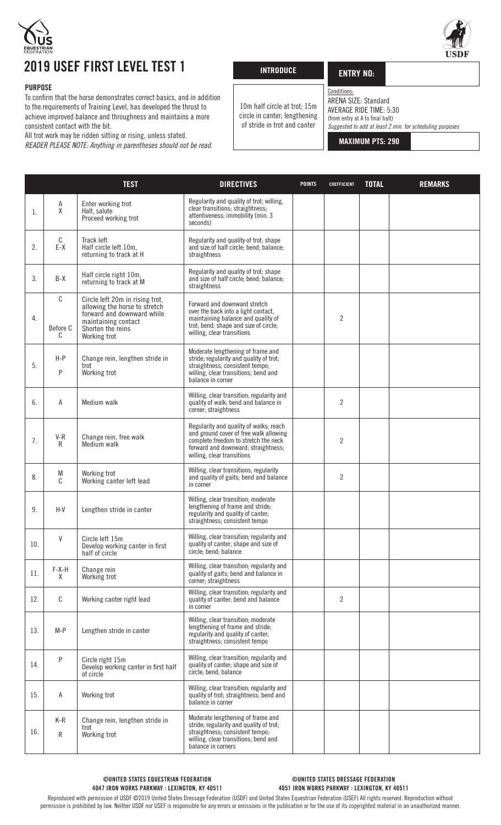

## 2019 USEF FIRST LEVEL TEST 1

## PURPOSE

To confirm that the horse demonstrates correct basics, and in addition to the requirements of Training Level, has developed the thrust to achieve improved balance and throughness and maintains a more consistent contact with the bit.

All trot work may be ridden sitting or rising, unless stated.

*READER PLEASE NOTE: Anything in parentheses should not be read.*

| <b>INTRODUCE</b> |  |
|------------------|--|
|                  |  |

-<br>r

## ENTRY NO:

ARENA SIZE: Standard

Conditions:

10m half circle at trot; 15m circle in canter; lengthening of stride in trot and canter

AVERAGE RIDE TIME: 5:30 (from entry at A to final halt) *Suggested to add at least 2 min. for scheduling purposes*

MAXIMUM PTS: 290

|     |                    | <b>TEST</b>                                                                                                                                                | <b>DIRECTIVES</b>                                                                                                                                                                             | <b>POINTS</b> | <b>COEFFICIENT</b> | <b>TOTAL</b> | <b>REMARKS</b> |
|-----|--------------------|------------------------------------------------------------------------------------------------------------------------------------------------------------|-----------------------------------------------------------------------------------------------------------------------------------------------------------------------------------------------|---------------|--------------------|--------------|----------------|
| 1.  | Α<br>χ             | Enter working trot<br>Halt, salute<br>Proceed working trot                                                                                                 | Regularity and quality of trot; willing,<br>clear transitions; straightness;<br>attentiveness; immobility (min. 3<br>seconds)                                                                 |               |                    |              |                |
| 2.  | C<br>$E-X$         | Track left<br>Half circle left 10m,<br>returning to track at H                                                                                             | Regularity and quality of trot; shape<br>and size of half circle; bend; balance;<br>straightness                                                                                              |               |                    |              |                |
| 3.  | $B-X$              | Half circle right 10m,<br>returning to track at M                                                                                                          | Regularity and quality of trot; shape<br>and size of half circle; bend; balance;<br>straightness                                                                                              |               |                    |              |                |
| 4.  | С<br>Before C<br>C | Circle left 20m in rising trot,<br>allowing the horse to stretch<br>forward and downward while<br>maintaining contact<br>Shorten the reins<br>Working trot | Forward and downward stretch<br>over the back into a light contact,<br>maintaining balance and quality of<br>trot; bend; shape and size of circle;<br>willing, clear transitions              |               | 2                  |              |                |
| 5.  | $H-P$<br>P         | Change rein, lengthen stride in<br>trot<br>Working trot                                                                                                    | Moderate lengthening of frame and<br>stride; regularity and quality of trot;<br>straightness; consistent tempo;<br>willing, clear transitions; bend and<br>balance in corner                  |               |                    |              |                |
| 6.  | A                  | Medium walk                                                                                                                                                | Willing, clear transition; regularity and<br>quality of walk; bend and balance in<br>corner; straightness                                                                                     |               | $\overline{2}$     |              |                |
| 7.  | $V-R$<br>R         | Change rein, free walk<br>Medium walk                                                                                                                      | Regularity and quality of walks; reach<br>and ground cover of free walk allowing<br>complete freedom to stretch the neck<br>forward and downward; straightness;<br>willing, clear transitions |               | $\overline{2}$     |              |                |
| 8.  | M<br>C             | Working trot<br>Working canter left lead                                                                                                                   | Willing, clear transitions; regularity<br>and quality of gaits; bend and balance<br>in corner                                                                                                 |               | $\overline{2}$     |              |                |
| 9.  | $H-V$              | Lengthen stride in canter                                                                                                                                  | Willing, clear transition; moderate<br>lengthening of frame and stride;<br>regularity and quality of canter;<br>straightness; consistent tempo                                                |               |                    |              |                |
| 10. | V                  | Circle left 15m<br>Develop working canter in first<br>half of circle                                                                                       | Willing, clear transition; regularity and<br>quality of canter; shape and size of<br>circle; bend; balance                                                                                    |               |                    |              |                |
| 11. | $F-X-H$<br>X       | Change rein<br>Working trot                                                                                                                                | Willing, clear transition; regularity and<br>quality of gaits; bend and balance in<br>corner; straightness                                                                                    |               |                    |              |                |
| 12. | С                  | Working canter right lead                                                                                                                                  | Willing, clear transition; regularity and<br>quality of canter; bend and balance<br>in corner                                                                                                 |               | $\overline{c}$     |              |                |
| 13. | $M-P$              | Lengthen stride in canter                                                                                                                                  | Willing, clear transition; moderate<br>lengthening of frame and stride;<br>regularity and quality of canter;<br>straightness; consistent tempo                                                |               |                    |              |                |
| 14. | P                  | Circle right 15m<br>Develop working canter in first half<br>of circle                                                                                      | Willing, clear transition; regularity and<br>quality of canter; shape and size of<br>circle; bend; balance                                                                                    |               |                    |              |                |
| 15. | Α                  | Working trot                                                                                                                                               | Willing, clear transition; regularity and<br>quality of trot; straightness; bend and<br>balance in corner                                                                                     |               |                    |              |                |
| 16. | $K-R$<br>R         | Change rein, lengthen stride in<br>trot<br>Working trot                                                                                                    | Moderate lengthening of frame and<br>stride; regularity and quality of trot;<br>straightness; consistent tempo;<br>willing, clear transitions; bend and<br>balance in corners                 |               |                    |              |                |

Reproduced with permission of USDF ©2019 United States Dressage Federation (USDF) and United States Equestrian Federation (USEF) All rights reserved. Reproduction without permission is prohibited by law. Neither USDF nor USEF is responsible for any errors or omissions in the publication or for the use of its copyrighted material in an unauthorized manner.